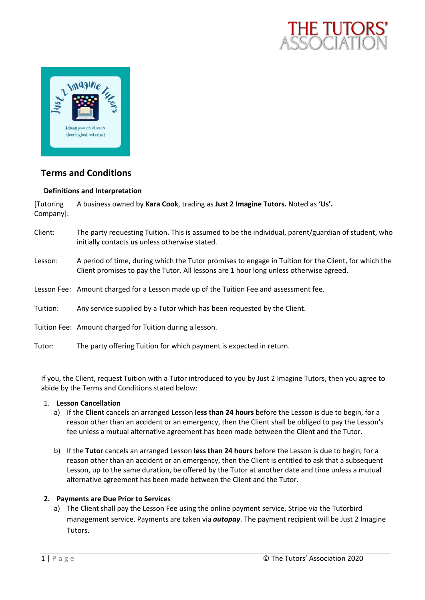



# **Terms and Conditions**

# **Definitions and Interpretation**

[Tutoring Company]: A business owned by **Kara Cook**, trading as **Just 2 Imagine Tutors.** Noted as **'Us'.**

- Client: The party requesting Tuition. This is assumed to be the individual, parent/guardian of student, who initially contacts **us** unless otherwise stated.
- Lesson: A period of time, during which the Tutor promises to engage in Tuition for the Client, for which the Client promises to pay the Tutor. All lessons are 1 hour long unless otherwise agreed.
- Lesson Fee: Amount charged for a Lesson made up of the Tuition Fee and assessment fee.
- Tuition: Any service supplied by a Tutor which has been requested by the Client.
- Tuition Fee: Amount charged for Tuition during a lesson.
- Tutor: The party offering Tuition for which payment is expected in return.

If you, the Client, request Tuition with a Tutor introduced to you by Just 2 Imagine Tutors, then you agree to abide by the Terms and Conditions stated below:

### 1. **Lesson Cancellation**

- a) If the **Client** cancels an arranged Lesson **less than 24 hours** before the Lesson is due to begin, for a reason other than an accident or an emergency, then the Client shall be obliged to pay the Lesson's fee unless a mutual alternative agreement has been made between the Client and the Tutor.
- b) If the **Tutor** cancels an arranged Lesson **less than 24 hours** before the Lesson is due to begin, for a reason other than an accident or an emergency, then the Client is entitled to ask that a subsequent Lesson, up to the same duration, be offered by the Tutor at another date and time unless a mutual alternative agreement has been made between the Client and the Tutor.

#### **2. Payments are Due Prior to Services**

a) The Client shall pay the Lesson Fee using the online payment service, Stripe via the Tutorbird management service. Payments are taken via *autopay*. The payment recipient will be Just 2 Imagine Tutors.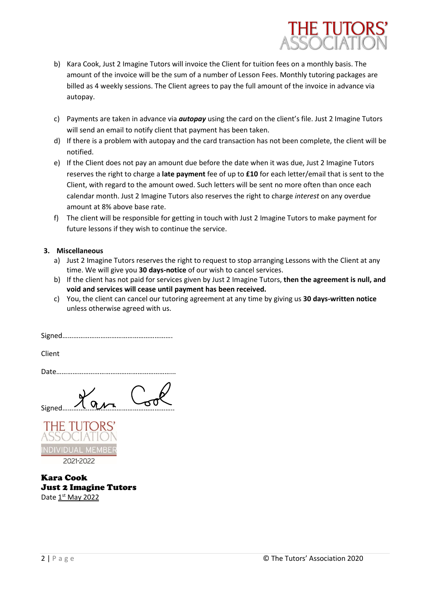

- b) Kara Cook, Just 2 Imagine Tutors will invoice the Client for tuition fees on a monthly basis. The amount of the invoice will be the sum of a number of Lesson Fees. Monthly tutoring packages are billed as 4 weekly sessions. The Client agrees to pay the full amount of the invoice in advance via autopay.
- c) Payments are taken in advance via *autopay* using the card on the client's file. Just 2 Imagine Tutors will send an email to notify client that payment has been taken.
- d) If there is a problem with autopay and the card transaction has not been complete, the client will be notified.
- e) If the Client does not pay an amount due before the date when it was due, Just 2 Imagine Tutors reserves the right to charge a **late payment** fee of up to **£10** for each letter/email that is sent to the Client, with regard to the amount owed. Such letters will be sent no more often than once each calendar month. Just 2 Imagine Tutors also reserves the right to charge *interest* on any overdue amount at 8% above base rate.
- f) The client will be responsible for getting in touch with Just 2 Imagine Tutors to make payment for future lessons if they wish to continue the service.

# **3. Miscellaneous**

- a) Just 2 Imagine Tutors reserves the right to request to stop arranging Lessons with the Client at any time. We will give you **30 days-notice** of our wish to cancel services.
- b) If the client has not paid for services given by Just 2 Imagine Tutors, **then the agreement is null, and void and services will cease until payment has been received.**
- c) You, the client can cancel our tutoring agreement at any time by giving us **30 days-written notice** unless otherwise agreed with us.

Signed…………………………………………………….

Client

Date………………………………………………………...

Signed……………………………………………………..



Kara Cook Just 2 Imagine Tutors Date 1<sup>st</sup> May 2022